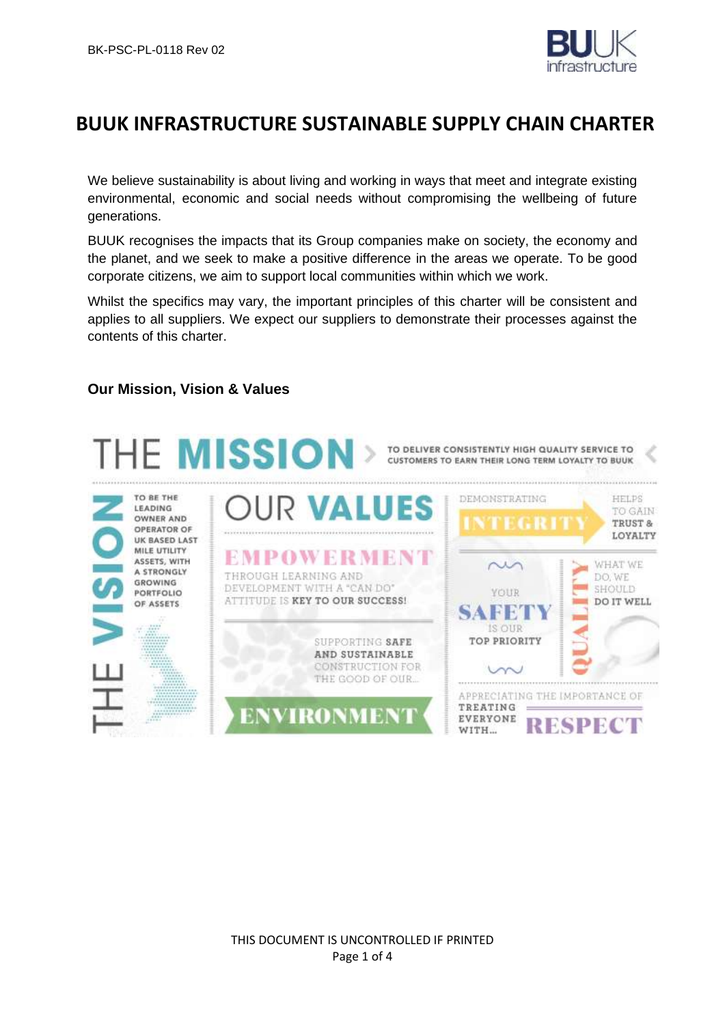

# **BUUK INFRASTRUCTURE SUSTAINABLE SUPPLY CHAIN CHARTER**

We believe sustainability is about living and working in ways that meet and integrate existing environmental, economic and social needs without compromising the wellbeing of future generations.

BUUK recognises the impacts that its Group companies make on society, the economy and the planet, and we seek to make a positive difference in the areas we operate. To be good corporate citizens, we aim to support local communities within which we work.

Whilst the specifics may vary, the important principles of this charter will be consistent and applies to all suppliers. We expect our suppliers to demonstrate their processes against the contents of this charter.

## **Our Mission, Vision & Values**

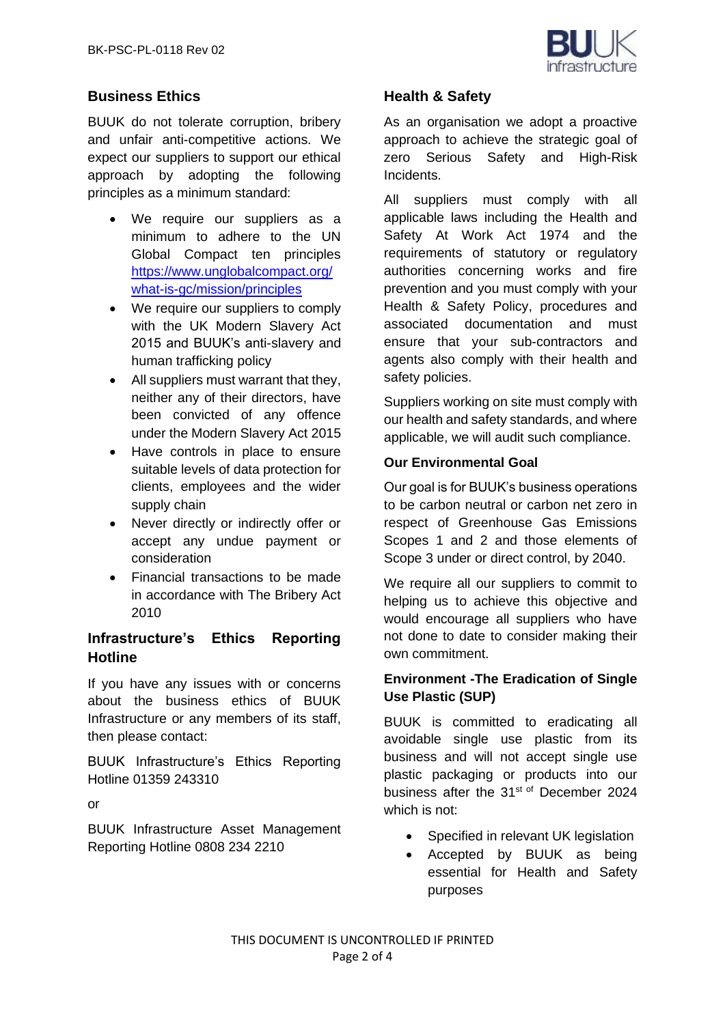

# **Business Ethics**

BUUK do not tolerate corruption, bribery and unfair anti-competitive actions. We expect our suppliers to support our ethical approach by adopting the following principles as a minimum standard:

- We require our suppliers as a minimum to adhere to the UN Global Compact ten principles [https://www.unglobalcompact.org/](https://www.unglobalcompact.org/what-is-gc/mission/principles) [what-is-gc/mission/principles](https://www.unglobalcompact.org/what-is-gc/mission/principles)
- We require our suppliers to comply with the UK Modern Slavery Act 2015 and BUUK's anti-slavery and human trafficking policy
- All suppliers must warrant that they, neither any of their directors, have been convicted of any offence under the Modern Slavery Act 2015
- Have controls in place to ensure suitable levels of data protection for clients, employees and the wider supply chain
- Never directly or indirectly offer or accept any undue payment or consideration
- Financial transactions to be made in accordance with The Bribery Act 2010

# **Infrastructure's Ethics Reporting Hotline**

If you have any issues with or concerns about the business ethics of BUUK Infrastructure or any members of its staff, then please contact:

BUUK Infrastructure's Ethics Reporting Hotline 01359 243310

or

BUUK Infrastructure Asset Management Reporting Hotline 0808 234 2210

# **Health & Safety**

As an organisation we adopt a proactive approach to achieve the strategic goal of zero Serious Safety and High-Risk Incidents.

All suppliers must comply with all applicable laws including the Health and Safety At Work Act 1974 and the requirements of statutory or regulatory authorities concerning works and fire prevention and you must comply with your Health & Safety Policy, procedures and associated documentation and must ensure that your sub-contractors and agents also comply with their health and safety policies.

Suppliers working on site must comply with our health and safety standards, and where applicable, we will audit such compliance.

## **Our Environmental Goal**

Our goal is for BUUK's business operations to be carbon neutral or carbon net zero in respect of Greenhouse Gas Emissions Scopes 1 and 2 and those elements of Scope 3 under or direct control, by 2040.

We require all our suppliers to commit to helping us to achieve this objective and would encourage all suppliers who have not done to date to consider making their own commitment.

## **Environment -The Eradication of Single Use Plastic (SUP)**

BUUK is committed to eradicating all avoidable single use plastic from its business and will not accept single use plastic packaging or products into our business after the 31<sup>st of</sup> December 2024 which is not:

- Specified in relevant UK legislation
- Accepted by BUUK as being essential for Health and Safety purposes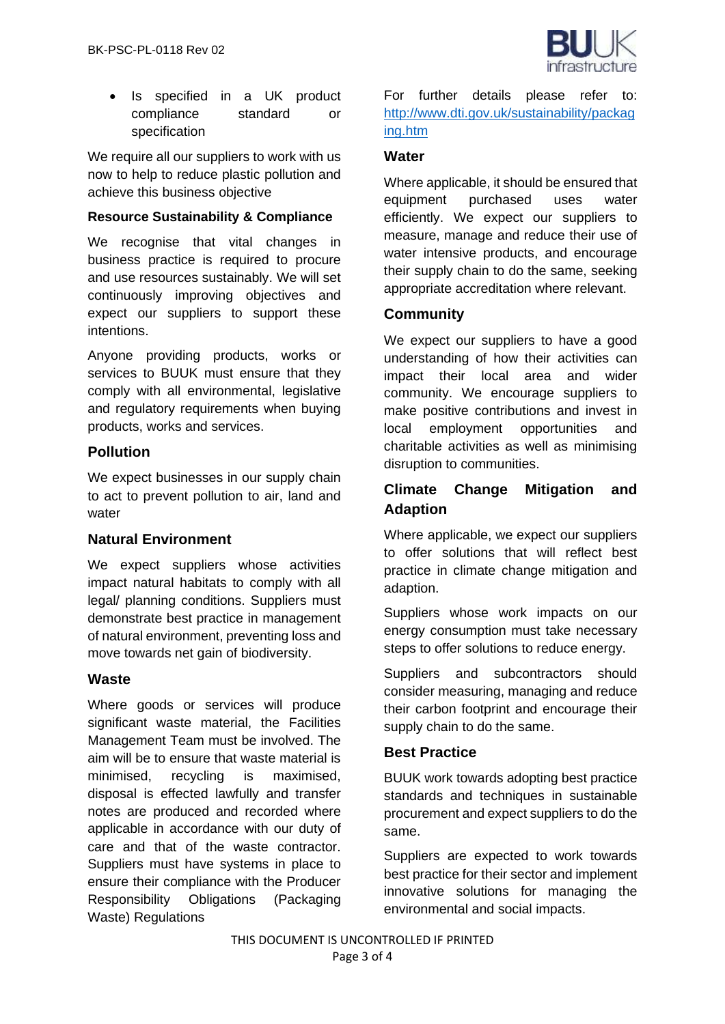

• Is specified in a UK product compliance standard or specification

We require all our suppliers to work with us now to help to reduce plastic pollution and achieve this business objective

## **Resource Sustainability & Compliance**

We recognise that vital changes in business practice is required to procure and use resources sustainably. We will set continuously improving objectives and expect our suppliers to support these intentions.

Anyone providing products, works or services to BUUK must ensure that they comply with all environmental, legislative and regulatory requirements when buying products, works and services.

## **Pollution**

We expect businesses in our supply chain to act to prevent pollution to air, land and water

## **Natural Environment**

We expect suppliers whose activities impact natural habitats to comply with all legal/ planning conditions. Suppliers must demonstrate best practice in management of natural environment, preventing loss and move towards net gain of biodiversity.

## **Waste**

Where goods or services will produce significant waste material, the Facilities Management Team must be involved. The aim will be to ensure that waste material is minimised, recycling is maximised, disposal is effected lawfully and transfer notes are produced and recorded where applicable in accordance with our duty of care and that of the waste contractor. Suppliers must have systems in place to ensure their compliance with the Producer Responsibility Obligations (Packaging Waste) Regulations

For further details please refer to: [http://www.dti.gov.uk/sustainability/packag](http://www.dti.gov.uk/sustainability/packaging.htm) [ing.htm](http://www.dti.gov.uk/sustainability/packaging.htm)

#### **Water**

Where applicable, it should be ensured that equipment purchased uses water efficiently. We expect our suppliers to measure, manage and reduce their use of water intensive products, and encourage their supply chain to do the same, seeking appropriate accreditation where relevant.

## **Community**

We expect our suppliers to have a good understanding of how their activities can impact their local area and wider community. We encourage suppliers to make positive contributions and invest in local employment opportunities and charitable activities as well as minimising disruption to communities.

# **Climate Change Mitigation and Adaption**

Where applicable, we expect our suppliers to offer solutions that will reflect best practice in climate change mitigation and adaption.

Suppliers whose work impacts on our energy consumption must take necessary steps to offer solutions to reduce energy.

Suppliers and subcontractors should consider measuring, managing and reduce their carbon footprint and encourage their supply chain to do the same.

## **Best Practice**

BUUK work towards adopting best practice standards and techniques in sustainable procurement and expect suppliers to do the same.

Suppliers are expected to work towards best practice for their sector and implement innovative solutions for managing the environmental and social impacts.